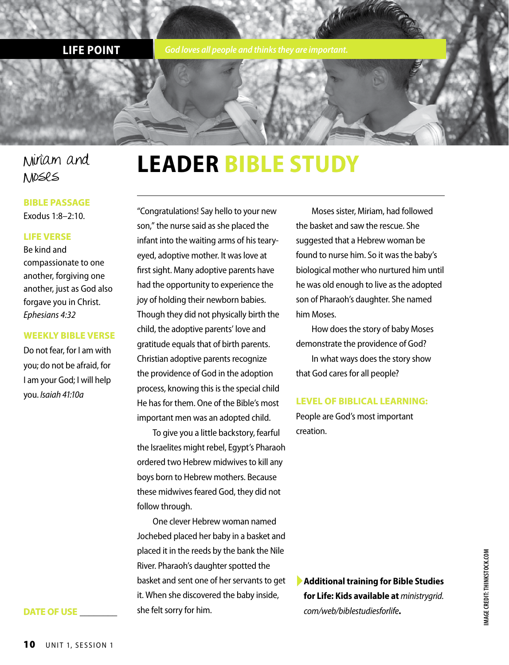**LIFE POINT** *God loves all people and thinks they are important.*

## Miriam and Moses

### **BIBLE PASSAGE**

Exodus 1:8–2:10.

#### **LIFE VERSE**

Be kind and compassionate to one another, forgiving one another, just as God also forgave you in Christ. *Ephesians 4:32*

#### **WEEKLY BIBLE VERSE**

Do not fear, for I am with you; do not be afraid, for I am your God; I will help you. *Isaiah 41:10a*

**DATE OF USE \_\_\_\_\_\_\_\_**

## **LEADER BIBLE STUDY**

"Congratulations! Say hello to your new son," the nurse said as she placed the infant into the waiting arms of his tearyeyed, adoptive mother. It was love at first sight. Many adoptive parents have had the opportunity to experience the joy of holding their newborn babies. Though they did not physically birth the child, the adoptive parents' love and gratitude equals that of birth parents. Christian adoptive parents recognize the providence of God in the adoption process, knowing this is the special child He has for them. One of the Bible's most important men was an adopted child.

To give you a little backstory, fearful the Israelites might rebel, Egypt's Pharaoh ordered two Hebrew midwives to kill any boys born to Hebrew mothers. Because these midwives feared God, they did not follow through.

One clever Hebrew woman named Jochebed placed her baby in a basket and placed it in the reeds by the bank the Nile River. Pharaoh's daughter spotted the basket and sent one of her servants to get it. When she discovered the baby inside, she felt sorry for him.

Moses sister, Miriam, had followed the basket and saw the rescue. She suggested that a Hebrew woman be found to nurse him. So it was the baby's biological mother who nurtured him until he was old enough to live as the adopted son of Pharaoh's daughter. She named him Moses.

How does the story of baby Moses demonstrate the providence of God? In what ways does the story show that God cares for all people?

#### **LEVEL OF BIBLICAL LEARNING:**

People are God's most important creation.

►**Additional training for Bible Studies for Life: Kids available at** *ministrygrid. com/web/biblestudiesforlife***.**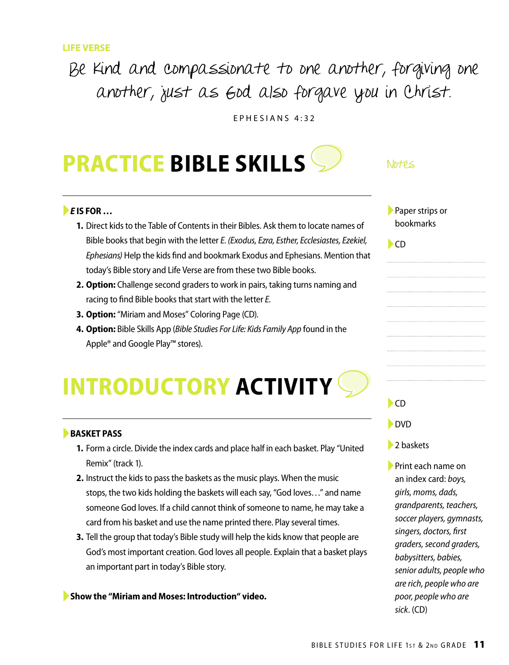## Be kind and compassionate to one another, forgiving one another, just as God also forgave you in Christ.

EPHESIANS 4:32

## **PRACTICE BIBLE SKILLS**

#### ►*E* **IS FOR …**

- **1.** Direct kids to the Table of Contents in their Bibles. Ask them to locate names of Bible books that begin with the letter *E*. *(Exodus, Ezra, Esther, Ecclesiastes, Ezekiel, Ephesians)* Help the kids find and bookmark Exodus and Ephesians. Mention that today's Bible story and Life Verse are from these two Bible books.
- **2. Option:** Challenge second graders to work in pairs, taking turns naming and racing to find Bible books that start with the letter *E*.
- **3. Option:** "Miriam and Moses" Coloring Page (CD).
- **4. Option:** Bible Skills App (*Bible Studies For Life: Kids Family App* found in the Apple® and Google Play™ stores).

## **INTRODUCTORY ACTIVITY**

#### ►**BASKET PASS**

- **1.** Form a circle. Divide the index cards and place half in each basket. Play "United Remix" (track 1).
- **2.** Instruct the kids to pass the baskets as the music plays. When the music stops, the two kids holding the baskets will each say, "God loves…" and name someone God loves. If a child cannot think of someone to name, he may take a card from his basket and use the name printed there. Play several times.
- **3.** Tell the group that today's Bible study will help the kids know that people are God's most important creation. God loves all people. Explain that a basket plays an important part in today's Bible story.

►**Show the "Miriam and Moses: Introduction" video.**

#### $N$  $b$  $f$  $e$  $\le$

| Paper strips or |
|-----------------|
| bookmarks       |

| ۰.<br>$\sim$ |
|--------------|
|--------------|

►CD

►DVD

#### ■ 2 baskets

►Print each name on an index card: *boys, girls, moms, dads, grandparents, teachers, soccer players, gymnasts, singers, doctors, first graders, second graders, babysitters, babies, senior adults, people who are rich, people who are poor, people who are sick*. (CD)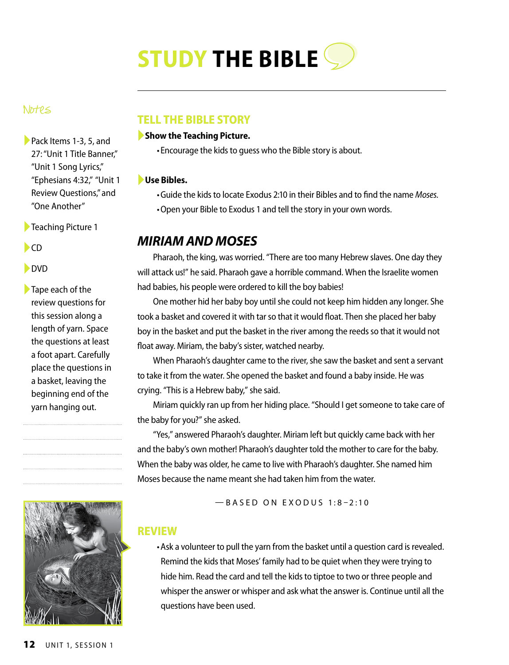# **STUDY THE BIBLE**

#### Notes

►Pack Items 1-3, 5, and 27: "Unit 1 Title Banner," "Unit 1 Song Lyrics," "Ephesians 4:32," "Unit 1 Review Questions," and "One Another"

- ►Teaching Picture 1
- ►CD

#### ►DVD

 $\blacktriangleright$  Tape each of the review questions for this session along a length of yarn. Space the questions at least a foot apart. Carefully place the questions in a basket, leaving the beginning end of the yarn hanging out.



### **TELL THE BIBLE STORY**

#### ►**Show the Teaching Picture.**

•Encourage the kids to guess who the Bible story is about.

#### ►**Use Bibles.**

- •Guide the kids to locate Exodus 2:10 in their Bibles and to find the name *Moses.*
- •Open your Bible to Exodus 1 and tell the story in your own words.

### *MIRIAM AND MOSES*

Pharaoh, the king, was worried. "There are too many Hebrew slaves. One day they will attack us!" he said. Pharaoh gave a horrible command. When the Israelite women had babies, his people were ordered to kill the boy babies!

One mother hid her baby boy until she could not keep him hidden any longer. She took a basket and covered it with tar so that it would float. Then she placed her baby boy in the basket and put the basket in the river among the reeds so that it would not float away. Miriam, the baby's sister, watched nearby.

When Pharaoh's daughter came to the river, she saw the basket and sent a servant to take it from the water. She opened the basket and found a baby inside. He was crying. "This is a Hebrew baby," she said.

Miriam quickly ran up from her hiding place. "Should I get someone to take care of the baby for you?" she asked.

"Yes," answered Pharaoh's daughter. Miriam left but quickly came back with her and the baby's own mother! Pharaoh's daughter told the mother to care for the baby. When the baby was older, he came to live with Pharaoh's daughter. She named him Moses because the name meant she had taken him from the water.

 $-$  BASED ON EXODUS 1:8-2:10

#### **REVIEW**

•Ask a volunteer to pull the yarn from the basket until a question card is revealed. Remind the kids that Moses' family had to be quiet when they were trying to hide him. Read the card and tell the kids to tiptoe to two or three people and whisper the answer or whisper and ask what the answer is. Continue until all the questions have been used.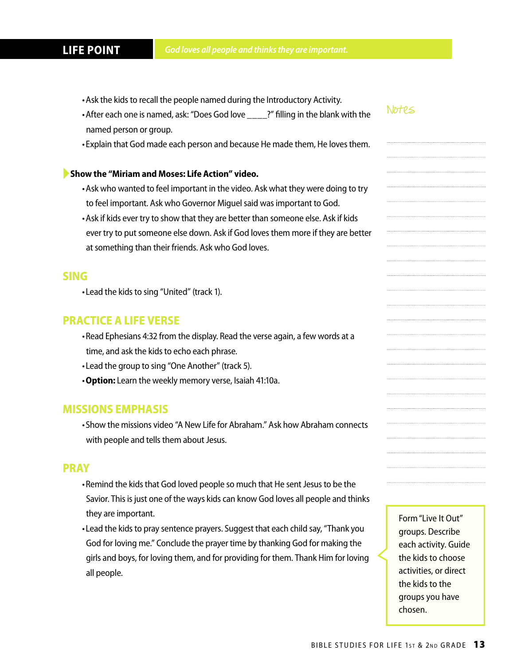- •Ask the kids to recall the people named during the Introductory Activity.
- After each one is named, ask: "Does God love ?" filling in the blank with the named person or group.
- •Explain that God made each person and because He made them, He loves them.

#### ►**Show the "Miriam and Moses: Life Action" video.**

- •Ask who wanted to feel important in the video. Ask what they were doing to try to feel important. Ask who Governor Miguel said was important to God.
- •Ask if kids ever try to show that they are better than someone else. Ask if kids ever try to put someone else down. Ask if God loves them more if they are better at something than their friends. Ask who God loves.

#### **SING**

•Lead the kids to sing "United" (track 1).

#### **PRACTICE A LIFE VERSE**

- •Read Ephesians 4:32 from the display. Read the verse again, a few words at a time, and ask the kids to echo each phrase.
- •Lead the group to sing "One Another" (track 5).
- •**Option:** Learn the weekly memory verse, Isaiah 41:10a.

#### **MISSIONS EMPHASIS**

•Show the missions video "A New Life for Abraham." Ask how Abraham connects with people and tells them about Jesus.

#### **PRAY**

- •Remind the kids that God loved people so much that He sent Jesus to be the Savior. This is just one of the ways kids can know God loves all people and thinks they are important.
- •Lead the kids to pray sentence prayers. Suggest that each child say, "Thank you God for loving me." Conclude the prayer time by thanking God for making the girls and boys, for loving them, and for providing for them. Thank Him for loving all people.

Form "Live It Out" groups. Describe each activity. Guide the kids to choose activities, or direct the kids to the groups you have chosen.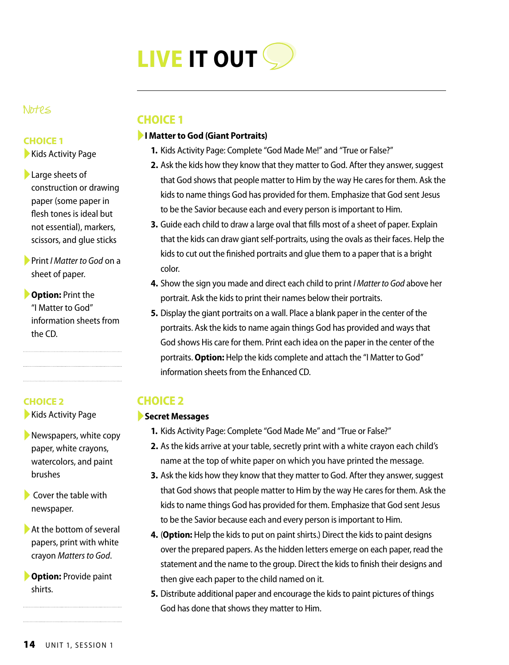

#### Notes

#### **CHOICE 1**

▶ Kids Activity Page

- ►Large sheets of construction or drawing paper (some paper in flesh tones is ideal but not essential), markers, scissors, and glue sticks
- ►Print *I Matter to God* on a sheet of paper.
- ►**Option:** Print the "I Matter to God" information sheets from the CD.

#### **CHOICE 2**

▶ Kids Activity Page

- $\blacktriangleright$  Newspapers, white copy paper, white crayons, watercolors, and paint brushes
- $\blacktriangleright$  Cover the table with newspaper.
- $\blacktriangleright$  At the bottom of several papers, print with white crayon *Matters to God*.

►**Option:** Provide paint shirts.

### **CHOICE 1**

#### ►**I Matter to God (Giant Portraits)**

- **1.** Kids Activity Page: Complete "God Made Me!" and "True or False?"
- **2.** Ask the kids how they know that they matter to God. After they answer, suggest that God shows that people matter to Him by the way He cares for them. Ask the kids to name things God has provided for them. Emphasize that God sent Jesus to be the Savior because each and every person is important to Him.
- **3.** Guide each child to draw a large oval that fills most of a sheet of paper. Explain that the kids can draw giant self-portraits, using the ovals as their faces. Help the kids to cut out the finished portraits and glue them to a paper that is a bright color.
- **4.** Show the sign you made and direct each child to print *I Matter to God* above her portrait. Ask the kids to print their names below their portraits.
- **5.** Display the giant portraits on a wall. Place a blank paper in the center of the portraits. Ask the kids to name again things God has provided and ways that God shows His care for them. Print each idea on the paper in the center of the portraits. **Option:** Help the kids complete and attach the "I Matter to God" information sheets from the Enhanced CD.

## **CHOICE 2**

#### ►**Secret Messages**

- **1.** Kids Activity Page: Complete "God Made Me" and "True or False?"
- **2.** As the kids arrive at your table, secretly print with a white crayon each child's name at the top of white paper on which you have printed the message.
- **3.** Ask the kids how they know that they matter to God. After they answer, suggest that God shows that people matter to Him by the way He cares for them. Ask the kids to name things God has provided for them. Emphasize that God sent Jesus to be the Savior because each and every person is important to Him.
- **4.** (**Option:** Help the kids to put on paint shirts.) Direct the kids to paint designs over the prepared papers. As the hidden letters emerge on each paper, read the statement and the name to the group. Direct the kids to finish their designs and then give each paper to the child named on it.
- **5.** Distribute additional paper and encourage the kids to paint pictures of things God has done that shows they matter to Him.